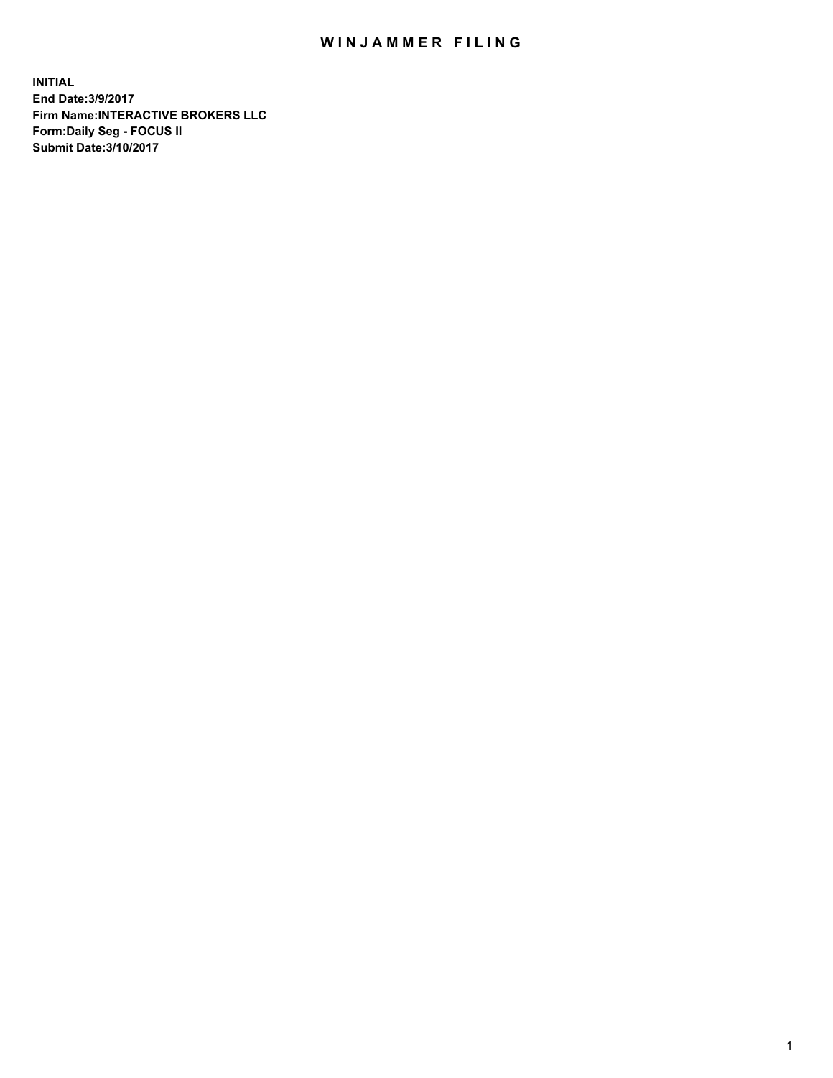## WIN JAMMER FILING

**INITIAL End Date:3/9/2017 Firm Name:INTERACTIVE BROKERS LLC Form:Daily Seg - FOCUS II Submit Date:3/10/2017**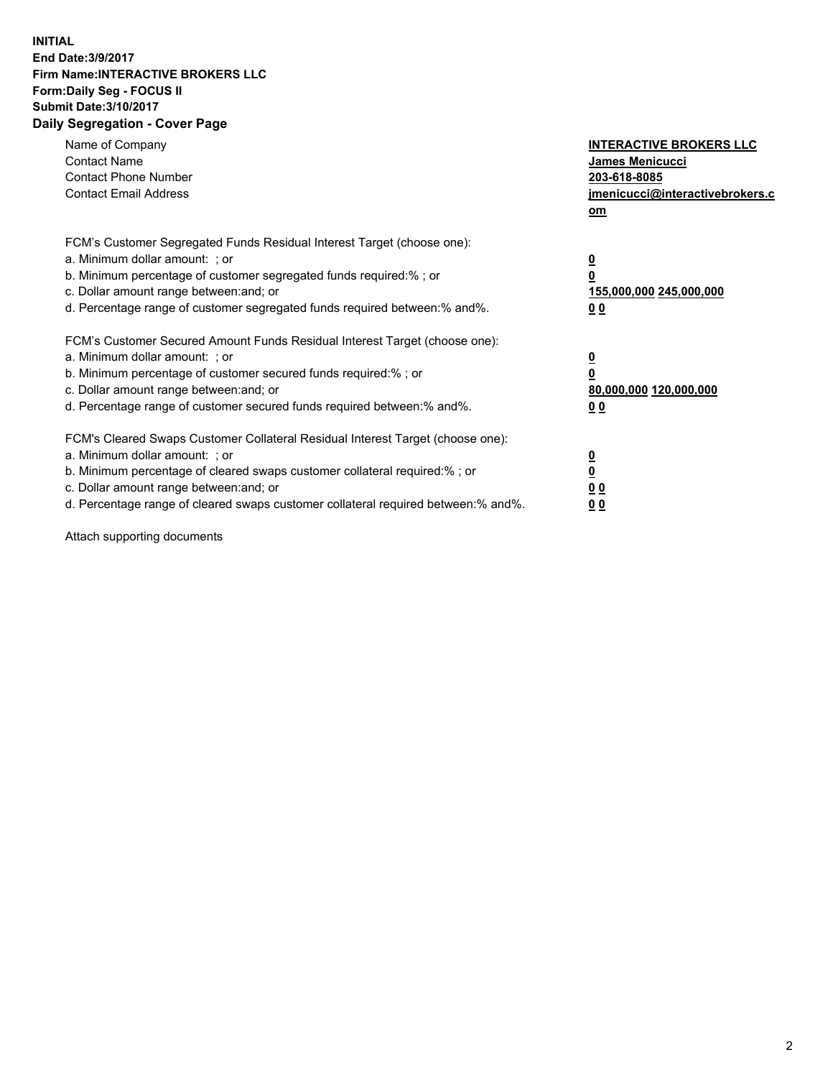## **INITIAL End Date:3/9/2017 Firm Name:INTERACTIVE BROKERS LLC Form:Daily Seg - FOCUS II Submit Date:3/10/2017 Daily Segregation - Cover Page**

| Name of Company<br><b>Contact Name</b><br><b>Contact Phone Number</b><br><b>Contact Email Address</b>                                                                                                                                                                                                                          | <b>INTERACTIVE BROKERS LLC</b><br><b>James Menicucci</b><br>203-618-8085<br>jmenicucci@interactivebrokers.c<br>om |
|--------------------------------------------------------------------------------------------------------------------------------------------------------------------------------------------------------------------------------------------------------------------------------------------------------------------------------|-------------------------------------------------------------------------------------------------------------------|
| FCM's Customer Segregated Funds Residual Interest Target (choose one):<br>a. Minimum dollar amount: ; or<br>b. Minimum percentage of customer segregated funds required:% ; or<br>c. Dollar amount range between: and; or<br>d. Percentage range of customer segregated funds required between: % and %.                       | $\overline{\mathbf{0}}$<br>0<br>155,000,000 245,000,000<br>00                                                     |
| FCM's Customer Secured Amount Funds Residual Interest Target (choose one):<br>a. Minimum dollar amount: ; or<br>b. Minimum percentage of customer secured funds required:%; or<br>c. Dollar amount range between: and; or<br>d. Percentage range of customer secured funds required between: % and %.                          | $\overline{\mathbf{0}}$<br>0<br>80,000,000 120,000,000<br>00                                                      |
| FCM's Cleared Swaps Customer Collateral Residual Interest Target (choose one):<br>a. Minimum dollar amount: ; or<br>b. Minimum percentage of cleared swaps customer collateral required:% ; or<br>c. Dollar amount range between: and; or<br>d. Percentage range of cleared swaps customer collateral required between:% and%. | $\overline{\mathbf{0}}$<br>$\overline{\mathbf{0}}$<br>00<br>0 <sub>0</sub>                                        |

Attach supporting documents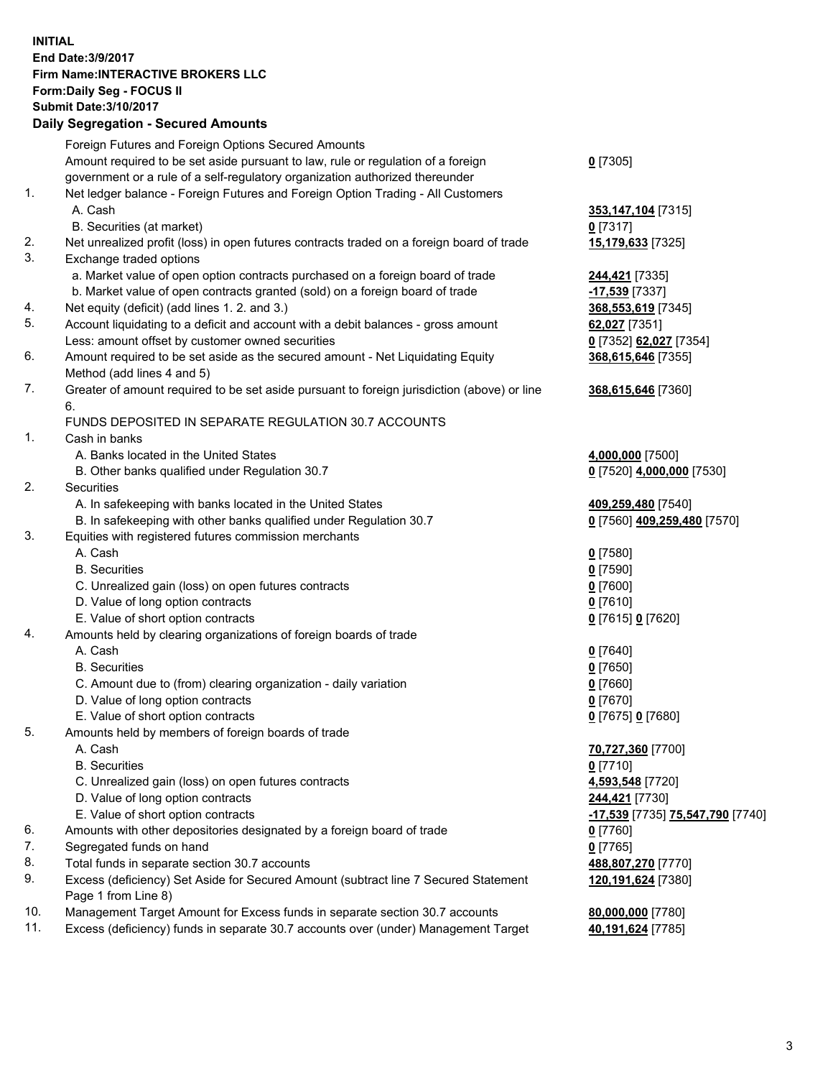## **INITIAL End Date:3/9/2017 Firm Name:INTERACTIVE BROKERS LLC Form:Daily Seg - FOCUS II Submit Date:3/10/2017 Daily Segregation - Secured Amounts**

|     | Daily Ocglegation - Occuled Amounts                                                         |                                  |
|-----|---------------------------------------------------------------------------------------------|----------------------------------|
|     | Foreign Futures and Foreign Options Secured Amounts                                         |                                  |
|     | Amount required to be set aside pursuant to law, rule or regulation of a foreign            | $0$ [7305]                       |
|     | government or a rule of a self-regulatory organization authorized thereunder                |                                  |
| 1.  | Net ledger balance - Foreign Futures and Foreign Option Trading - All Customers             |                                  |
|     | A. Cash                                                                                     | 353,147,104 [7315]               |
|     | B. Securities (at market)                                                                   | $0$ [7317]                       |
| 2.  | Net unrealized profit (loss) in open futures contracts traded on a foreign board of trade   | 15,179,633 [7325]                |
| 3.  | Exchange traded options                                                                     |                                  |
|     | a. Market value of open option contracts purchased on a foreign board of trade              | 244,421 [7335]                   |
|     | b. Market value of open contracts granted (sold) on a foreign board of trade                | -17,539 [7337]                   |
| 4.  | Net equity (deficit) (add lines 1. 2. and 3.)                                               | 368,553,619 [7345]               |
| 5.  | Account liquidating to a deficit and account with a debit balances - gross amount           | 62,027 [7351]                    |
|     | Less: amount offset by customer owned securities                                            | 0 [7352] 62,027 [7354]           |
| 6.  | Amount required to be set aside as the secured amount - Net Liquidating Equity              | 368,615,646 [7355]               |
|     | Method (add lines 4 and 5)                                                                  |                                  |
| 7.  | Greater of amount required to be set aside pursuant to foreign jurisdiction (above) or line | 368,615,646 [7360]               |
|     | 6.                                                                                          |                                  |
|     | FUNDS DEPOSITED IN SEPARATE REGULATION 30.7 ACCOUNTS                                        |                                  |
| 1.  | Cash in banks                                                                               |                                  |
|     | A. Banks located in the United States                                                       | 4,000,000 [7500]                 |
|     | B. Other banks qualified under Regulation 30.7                                              | 0 [7520] 4,000,000 [7530]        |
| 2.  | Securities                                                                                  |                                  |
|     | A. In safekeeping with banks located in the United States                                   | 409,259,480 [7540]               |
|     | B. In safekeeping with other banks qualified under Regulation 30.7                          | 0 [7560] 409,259,480 [7570]      |
| 3.  | Equities with registered futures commission merchants                                       |                                  |
|     | A. Cash                                                                                     | $0$ [7580]                       |
|     | <b>B.</b> Securities                                                                        | $0$ [7590]                       |
|     | C. Unrealized gain (loss) on open futures contracts                                         | $0$ [7600]                       |
|     | D. Value of long option contracts                                                           | $0$ [7610]                       |
|     | E. Value of short option contracts                                                          | 0 [7615] 0 [7620]                |
| 4.  | Amounts held by clearing organizations of foreign boards of trade                           |                                  |
|     | A. Cash                                                                                     | $0$ [7640]                       |
|     | <b>B.</b> Securities                                                                        | $0$ [7650]                       |
|     | C. Amount due to (from) clearing organization - daily variation                             | $0$ [7660]                       |
|     | D. Value of long option contracts                                                           | $0$ [7670]                       |
| 5.  | E. Value of short option contracts                                                          | 0 [7675] 0 [7680]                |
|     | Amounts held by members of foreign boards of trade<br>A. Cash                               | 70,727,360 [7700]                |
|     | <b>B.</b> Securities                                                                        | $0$ [7710]                       |
|     | C. Unrealized gain (loss) on open futures contracts                                         | 4,593,548 [7720]                 |
|     | D. Value of long option contracts                                                           | 244,421 [7730]                   |
|     | E. Value of short option contracts                                                          | -17,539 [7735] 75,547,790 [7740] |
| 6.  | Amounts with other depositories designated by a foreign board of trade                      | 0 [7760]                         |
| 7.  | Segregated funds on hand                                                                    | $0$ [7765]                       |
| 8.  | Total funds in separate section 30.7 accounts                                               | 488,807,270 [7770]               |
| 9.  | Excess (deficiency) Set Aside for Secured Amount (subtract line 7 Secured Statement         | 120,191,624 [7380]               |
|     | Page 1 from Line 8)                                                                         |                                  |
| 10. | Management Target Amount for Excess funds in separate section 30.7 accounts                 | 80,000,000 [7780]                |
| 11. | Excess (deficiency) funds in separate 30.7 accounts over (under) Management Target          | 40,191,624 [7785]                |
|     |                                                                                             |                                  |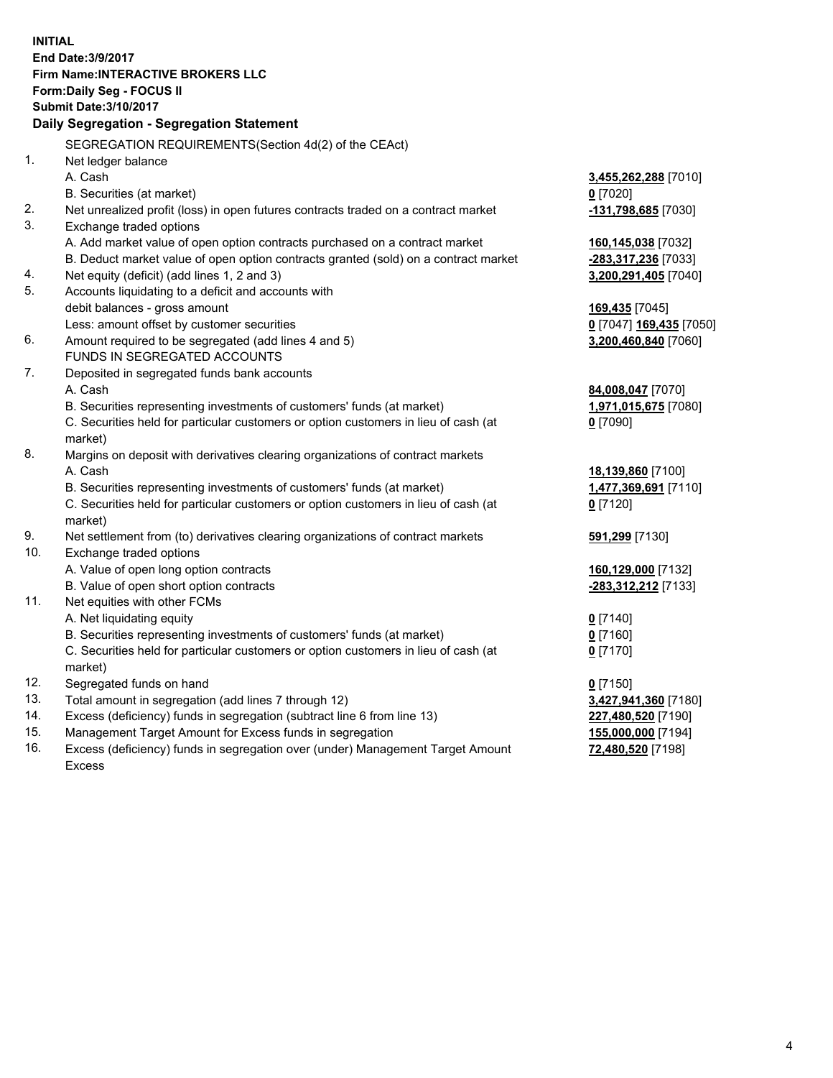**INITIAL End Date:3/9/2017 Firm Name:INTERACTIVE BROKERS LLC Form:Daily Seg - FOCUS II Submit Date:3/10/2017 Daily Segregation - Segregation Statement** SEGREGATION REQUIREMENTS(Section 4d(2) of the CEAct) 1. Net ledger balance A. Cash **3,455,262,288** [7010] B. Securities (at market) **0** [7020] 2. Net unrealized profit (loss) in open futures contracts traded on a contract market **-131,798,685** [7030] 3. Exchange traded options A. Add market value of open option contracts purchased on a contract market **160,145,038** [7032] B. Deduct market value of open option contracts granted (sold) on a contract market **-283,317,236** [7033] 4. Net equity (deficit) (add lines 1, 2 and 3) **3,200,291,405** [7040] 5. Accounts liquidating to a deficit and accounts with debit balances - gross amount **169,435** [7045] Less: amount offset by customer securities **0** [7047] **169,435** [7050] 6. Amount required to be segregated (add lines 4 and 5) **3,200,460,840** [7060] FUNDS IN SEGREGATED ACCOUNTS 7. Deposited in segregated funds bank accounts A. Cash **84,008,047** [7070] B. Securities representing investments of customers' funds (at market) **1,971,015,675** [7080] C. Securities held for particular customers or option customers in lieu of cash (at market) **0** [7090] 8. Margins on deposit with derivatives clearing organizations of contract markets A. Cash **18,139,860** [7100] B. Securities representing investments of customers' funds (at market) **1,477,369,691** [7110] C. Securities held for particular customers or option customers in lieu of cash (at market) **0** [7120] 9. Net settlement from (to) derivatives clearing organizations of contract markets **591,299** [7130] 10. Exchange traded options A. Value of open long option contracts **160,129,000** [7132] B. Value of open short option contracts **-283,312,212** [7133] 11. Net equities with other FCMs A. Net liquidating equity **0** [7140] B. Securities representing investments of customers' funds (at market) **0** [7160] C. Securities held for particular customers or option customers in lieu of cash (at market) **0** [7170] 12. Segregated funds on hand **0** [7150] 13. Total amount in segregation (add lines 7 through 12) **3,427,941,360** [7180] 14. Excess (deficiency) funds in segregation (subtract line 6 from line 13) **227,480,520** [7190] 15. Management Target Amount for Excess funds in segregation **155,000,000** [7194]

16. Excess (deficiency) funds in segregation over (under) Management Target Amount Excess

**72,480,520** [7198]